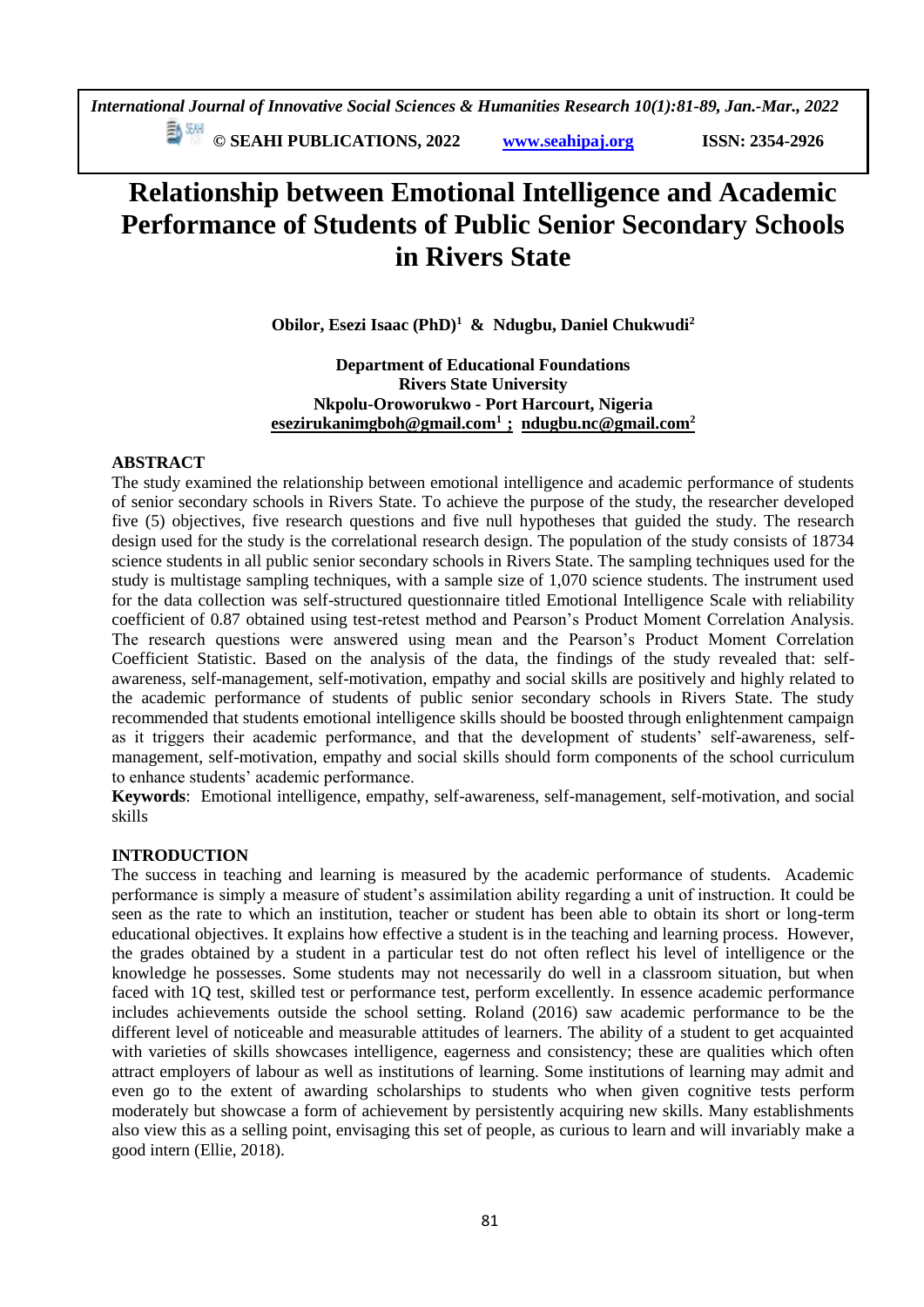**E**  $\frac{54}{30}$  **CM** © SEAHI PUBLICATIONS, 2022 *www.seahipaj.org* **ISSN: 2354-2926** 

# **Relationship between Emotional Intelligence and Academic Performance of Students of Public Senior Secondary Schools in Rivers State**

**Obilor, Esezi Isaac (PhD)<sup>1</sup> & Ndugbu, Daniel Chukwudi<sup>2</sup>**

**Department of Educational Foundations Rivers State University Nkpolu-Oroworukwo - Port Harcourt, Nigeria [esezirukanimgboh@gmail.com](mailto:esezirukanimgboh@gmail.com1)<sup>1</sup>; [ndugbu.nc@gmail.com](mailto:ndugbu.nc@gmail.com)<sup>2</sup>**

## **ABSTRACT**

The study examined the relationship between emotional intelligence and academic performance of students of senior secondary schools in Rivers State. To achieve the purpose of the study, the researcher developed five (5) objectives, five research questions and five null hypotheses that guided the study. The research design used for the study is the correlational research design. The population of the study consists of 18734 science students in all public senior secondary schools in Rivers State. The sampling techniques used for the study is multistage sampling techniques, with a sample size of 1,070 science students. The instrument used for the data collection was self-structured questionnaire titled Emotional Intelligence Scale with reliability coefficient of 0.87 obtained using test-retest method and Pearson's Product Moment Correlation Analysis. The research questions were answered using mean and the Pearson's Product Moment Correlation Coefficient Statistic. Based on the analysis of the data, the findings of the study revealed that: selfawareness, self-management, self-motivation, empathy and social skills are positively and highly related to the academic performance of students of public senior secondary schools in Rivers State. The study recommended that students emotional intelligence skills should be boosted through enlightenment campaign as it triggers their academic performance, and that the development of students' self-awareness, selfmanagement, self-motivation, empathy and social skills should form components of the school curriculum to enhance students' academic performance.

**Keywords**: Emotional intelligence, empathy, self-awareness, self-management, self-motivation, and social skills

## **INTRODUCTION**

The success in teaching and learning is measured by the academic performance of students. Academic performance is simply a measure of student's assimilation ability regarding a unit of instruction. It could be seen as the rate to which an institution, teacher or student has been able to obtain its short or long-term educational objectives. It explains how effective a student is in the teaching and learning process. However, the grades obtained by a student in a particular test do not often reflect his level of intelligence or the knowledge he possesses. Some students may not necessarily do well in a classroom situation, but when faced with 1Q test, skilled test or performance test, perform excellently. In essence academic performance includes achievements outside the school setting. Roland (2016) saw academic performance to be the different level of noticeable and measurable attitudes of learners. The ability of a student to get acquainted with varieties of skills showcases intelligence, eagerness and consistency; these are qualities which often attract employers of labour as well as institutions of learning. Some institutions of learning may admit and even go to the extent of awarding scholarships to students who when given cognitive tests perform moderately but showcase a form of achievement by persistently acquiring new skills. Many establishments also view this as a selling point, envisaging this set of people, as curious to learn and will invariably make a good intern (Ellie, 2018).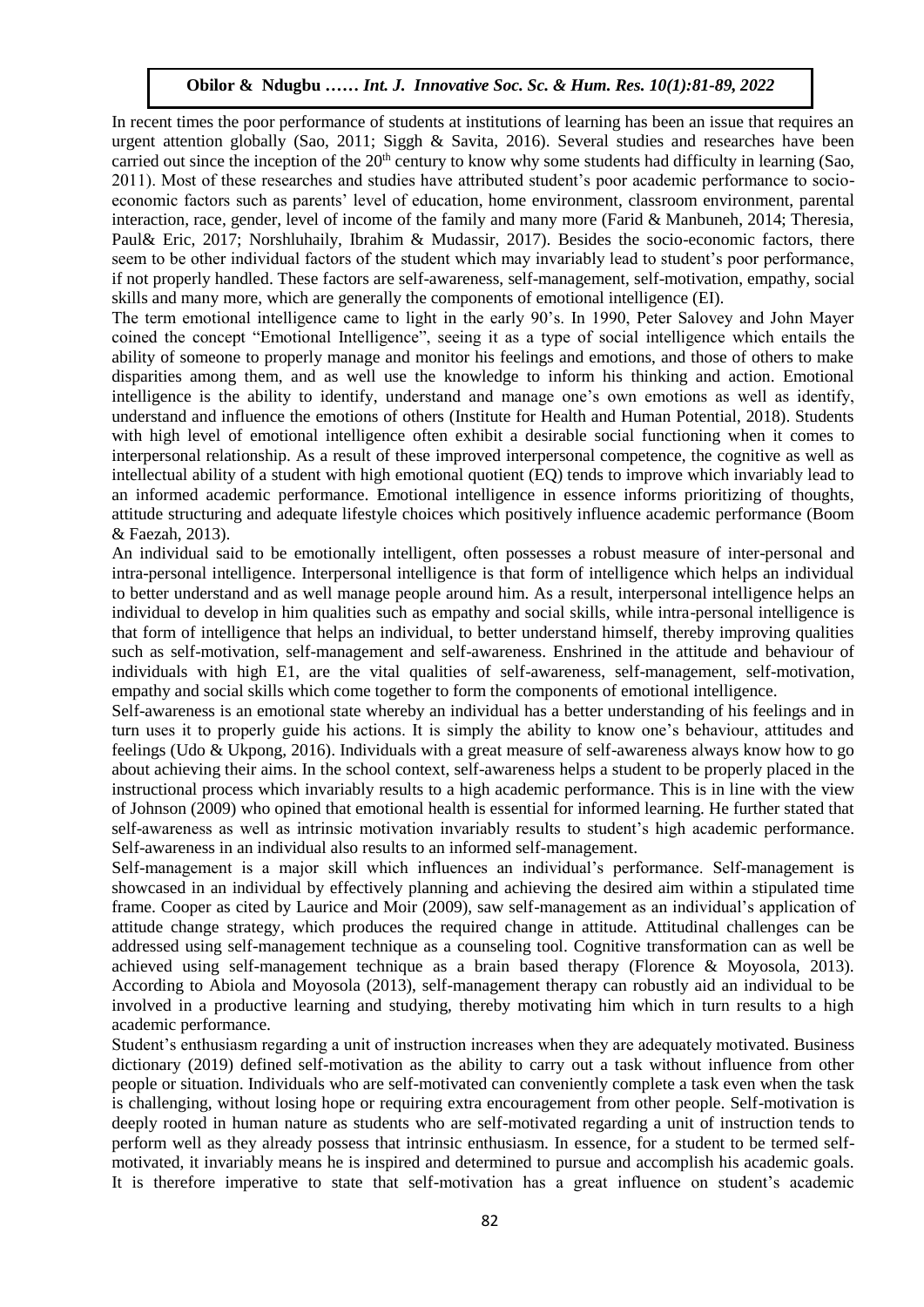In recent times the poor performance of students at institutions of learning has been an issue that requires an urgent attention globally (Sao, 2011; Siggh & Savita, 2016). Several studies and researches have been carried out since the inception of the  $20<sup>th</sup>$  century to know why some students had difficulty in learning (Sao,  $20<sup>11</sup>$ ). Must be set that in the students had difficulty in learning (Sao, 2011). Most of these researches and studies have attributed student's poor academic performance to socioeconomic factors such as parents' level of education, home environment, classroom environment, parental interaction, race, gender, level of income of the family and many more (Farid & Manbuneh, 2014; Theresia, Paul& Eric, 2017; Norshluhaily, Ibrahim & Mudassir, 2017). Besides the socio-economic factors, there seem to be other individual factors of the student which may invariably lead to student's poor performance, if not properly handled. These factors are self-awareness, self-management, self-motivation, empathy, social skills and many more, which are generally the components of emotional intelligence (EI).

The term emotional intelligence came to light in the early 90's. In 1990, Peter Salovey and John Mayer coined the concept "Emotional Intelligence", seeing it as a type of social intelligence which entails the ability of someone to properly manage and monitor his feelings and emotions, and those of others to make disparities among them, and as well use the knowledge to inform his thinking and action. Emotional intelligence is the ability to identify, understand and manage one's own emotions as well as identify, understand and influence the emotions of others (Institute for Health and Human Potential, 2018). Students with high level of emotional intelligence often exhibit a desirable social functioning when it comes to interpersonal relationship. As a result of these improved interpersonal competence, the cognitive as well as intellectual ability of a student with high emotional quotient (EQ) tends to improve which invariably lead to an informed academic performance. Emotional intelligence in essence informs prioritizing of thoughts, attitude structuring and adequate lifestyle choices which positively influence academic performance (Boom & Faezah, 2013).

An individual said to be emotionally intelligent, often possesses a robust measure of inter-personal and intra-personal intelligence. Interpersonal intelligence is that form of intelligence which helps an individual to better understand and as well manage people around him. As a result, interpersonal intelligence helps an individual to develop in him qualities such as empathy and social skills, while intra-personal intelligence is that form of intelligence that helps an individual, to better understand himself, thereby improving qualities such as self-motivation, self-management and self-awareness. Enshrined in the attitude and behaviour of individuals with high E1, are the vital qualities of self-awareness, self-management, self-motivation, empathy and social skills which come together to form the components of emotional intelligence.

Self-awareness is an emotional state whereby an individual has a better understanding of his feelings and in turn uses it to properly guide his actions. It is simply the ability to know one's behaviour, attitudes and feelings (Udo & Ukpong, 2016). Individuals with a great measure of self-awareness always know how to go about achieving their aims. In the school context, self-awareness helps a student to be properly placed in the instructional process which invariably results to a high academic performance. This is in line with the view of Johnson (2009) who opined that emotional health is essential for informed learning. He further stated that self-awareness as well as intrinsic motivation invariably results to student's high academic performance. Self-awareness in an individual also results to an informed self-management.

Self-management is a major skill which influences an individual's performance. Self-management is showcased in an individual by effectively planning and achieving the desired aim within a stipulated time frame. Cooper as cited by Laurice and Moir (2009), saw self-management as an individual's application of attitude change strategy, which produces the required change in attitude. Attitudinal challenges can be addressed using self-management technique as a counseling tool. Cognitive transformation can as well be achieved using self-management technique as a brain based therapy (Florence & Moyosola, 2013). According to Abiola and Moyosola (2013), self-management therapy can robustly aid an individual to be involved in a productive learning and studying, thereby motivating him which in turn results to a high academic performance.

Student's enthusiasm regarding a unit of instruction increases when they are adequately motivated. Business dictionary (2019) defined self-motivation as the ability to carry out a task without influence from other people or situation. Individuals who are self-motivated can conveniently complete a task even when the task is challenging, without losing hope or requiring extra encouragement from other people. Self-motivation is deeply rooted in human nature as students who are self-motivated regarding a unit of instruction tends to perform well as they already possess that intrinsic enthusiasm. In essence, for a student to be termed selfmotivated, it invariably means he is inspired and determined to pursue and accomplish his academic goals. It is therefore imperative to state that self-motivation has a great influence on student's academic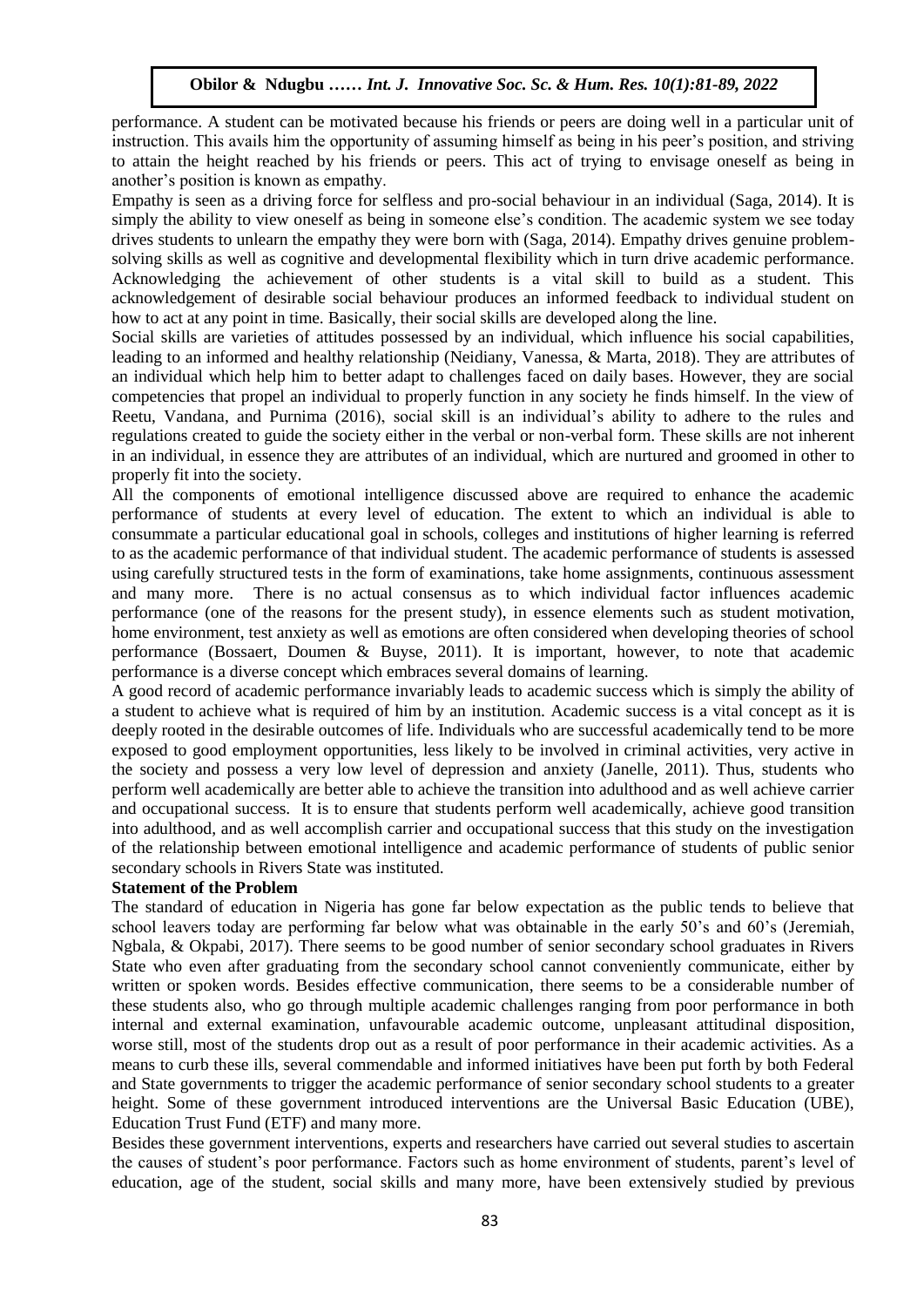performance. A student can be motivated because his friends or peers are doing well in a particular unit of instruction. This avails him the opportunity of assuming himself as being in his peer's position, and striving to attain the height reached by his friends or peers. This act of trying to envisage oneself as being in another's position is known as empathy.

Empathy is seen as a driving force for selfless and pro-social behaviour in an individual (Saga, 2014). It is Empathy is seen as a driving force for seriess and pro-social behaviour in an individual (saga, 2014). It is<br>simply the ability to view oneself as being in someone else's condition. The academic system we see today drives students to unlearn the empathy they were born with (Saga, 2014). Empathy drives genuine problemsolving skills as well as cognitive and developmental flexibility which in turn drive academic performance. Acknowledging the achievement of other students is a vital skill to build as a student. This acknowledgement of desirable social behaviour produces an informed feedback to individual student on how to act at any point in time. Basically, their social skills are developed along the line.

Social skills are varieties of attitudes possessed by an individual, which influence his social capabilities, leading to an informed and healthy relationship (Neidiany, Vanessa, & Marta, 2018). They are attributes of an individual which help him to better adapt to challenges faced on daily bases. However, they are social competencies that propel an individual to properly function in any society he finds himself. In the view of Reetu, Vandana, and Purnima (2016), social skill is an individual's ability to adhere to the rules and regulations created to guide the society either in the verbal or non-verbal form. These skills are not inherent in an individual, in essence they are attributes of an individual, which are nurtured and groomed in other to properly fit into the society.

All the components of emotional intelligence discussed above are required to enhance the academic performance of students at every level of education. The extent to which an individual is able to consummate a particular educational goal in schools, colleges and institutions of higher learning is referred to as the academic performance of that individual student. The academic performance of students is assessed using carefully structured tests in the form of examinations, take home assignments, continuous assessment and many more. There is no actual consensus as to which individual factor influences academic performance (one of the reasons for the present study), in essence elements such as student motivation, home environment, test anxiety as well as emotions are often considered when developing theories of school performance (Bossaert, Doumen & Buyse, 2011). It is important, however, to note that academic performance is a diverse concept which embraces several domains of learning.

A good record of academic performance invariably leads to academic success which is simply the ability of a student to achieve what is required of him by an institution. Academic success is a vital concept as it is deeply rooted in the desirable outcomes of life. Individuals who are successful academically tend to be more exposed to good employment opportunities, less likely to be involved in criminal activities, very active in the society and possess a very low level of depression and anxiety (Janelle, 2011). Thus, students who perform well academically are better able to achieve the transition into adulthood and as well achieve carrier and occupational success. It is to ensure that students perform well academically, achieve good transition into adulthood, and as well accomplish carrier and occupational success that this study on the investigation of the relationship between emotional intelligence and academic performance of students of public senior secondary schools in Rivers State was instituted.

#### **Statement of the Problem**

The standard of education in Nigeria has gone far below expectation as the public tends to believe that school leavers today are performing far below what was obtainable in the early 50's and 60's (Jeremiah, Ngbala, & Okpabi, 2017). There seems to be good number of senior secondary school graduates in Rivers State who even after graduating from the secondary school cannot conveniently communicate, either by written or spoken words. Besides effective communication, there seems to be a considerable number of these students also, who go through multiple academic challenges ranging from poor performance in both internal and external examination, unfavourable academic outcome, unpleasant attitudinal disposition, worse still, most of the students drop out as a result of poor performance in their academic activities. As a means to curb these ills, several commendable and informed initiatives have been put forth by both Federal and State governments to trigger the academic performance of senior secondary school students to a greater height. Some of these government introduced interventions are the Universal Basic Education (UBE), Education Trust Fund (ETF) and many more.

Besides these government interventions, experts and researchers have carried out several studies to ascertain the causes of student's poor performance. Factors such as home environment of students, parent's level of education, age of the student, social skills and many more, have been extensively studied by previous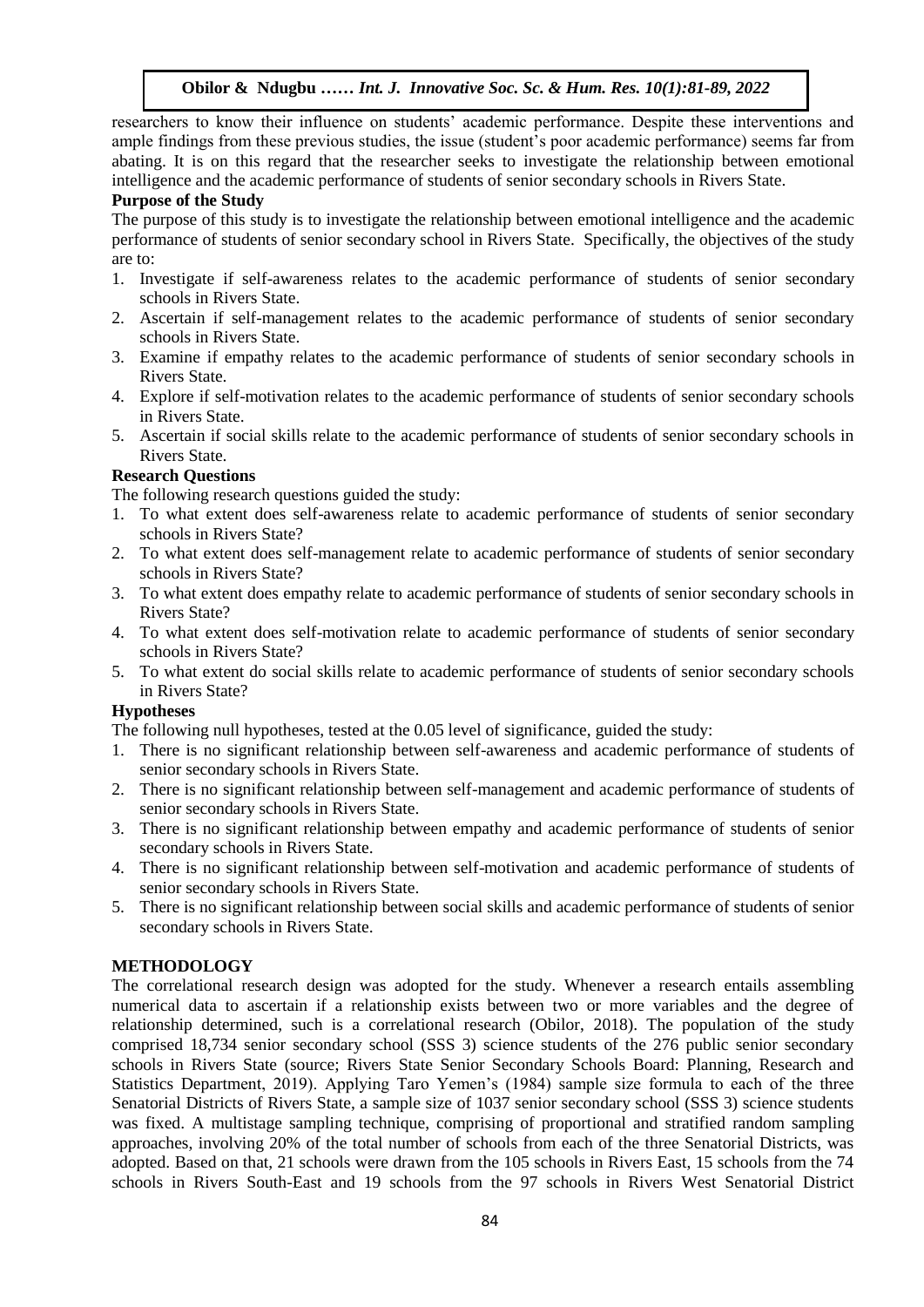researchers to know their influence on students' academic performance. Despite these interventions and ample findings from these previous studies, the issue (student's poor academic performance) seems far from abating. It is on this regard that the researcher seeks to investigate the relationship between emotional intelligence and the academic performance of students of senior secondary schools in Rivers State.

#### **Purpose of the Study**

The purpose of this study is to investigate the relationship between emotional intelligence and the academic The purpose of this study is to investigate the relationship between emotional intelligence and the academic performance of students of senior secondary school in Rivers State. Specifically, the objectives of the study are to:  $\mathcal{A}$  is the Wosu …… In the Soc. Sc.  $\mathcal{A}$ 

- 1. Investigate if self-awareness relates to the academic performance of students of senior secondary schools in Rivers State.
- 2. Ascertain if self-management relates to the academic performance of students of senior secondary schools in Rivers State.
- 3. Examine if empathy relates to the academic performance of students of senior secondary schools in Rivers State.  $\mathsf{R}$
- 4. Explore if self-motivation relates to the academic performance of students of senior secondary schools in Rivers State.
- 5. Ascertain if social skills relate to the academic performance of students of senior secondary schools in Rivers State.

#### **Research Questions**

The following research questions guided the study:

- 1. To what extent does self-awareness relate to academic performance of students of senior secondary schools in Rivers State?
- 2. To what extent does self-management relate to academic performance of students of senior secondary schools in Rivers State?
- 3. To what extent does empathy relate to academic performance of students of senior secondary schools in Rivers State?
- 4. To what extent does self-motivation relate to academic performance of students of senior secondary schools in Rivers State?
- 5. To what extent do social skills relate to academic performance of students of senior secondary schools in Rivers State?

## **Hypotheses**

The following null hypotheses, tested at the 0.05 level of significance, guided the study:

- 1. There is no significant relationship between self-awareness and academic performance of students of senior secondary schools in Rivers State.
- 2. There is no significant relationship between self-management and academic performance of students of senior secondary schools in Rivers State.
- 3. There is no significant relationship between empathy and academic performance of students of senior secondary schools in Rivers State.
- 4. There is no significant relationship between self-motivation and academic performance of students of senior secondary schools in Rivers State.
- 5. There is no significant relationship between social skills and academic performance of students of senior secondary schools in Rivers State.

## **METHODOLOGY**

The correlational research design was adopted for the study. Whenever a research entails assembling numerical data to ascertain if a relationship exists between two or more variables and the degree of relationship determined, such is a correlational research (Obilor, 2018). The population of the study comprised 18,734 senior secondary school (SSS 3) science students of the 276 public senior secondary schools in Rivers State (source; Rivers State Senior Secondary Schools Board: Planning, Research and Statistics Department, 2019). Applying Taro Yemen's (1984) sample size formula to each of the three Senatorial Districts of Rivers State, a sample size of 1037 senior secondary school (SSS 3) science students was fixed. A multistage sampling technique, comprising of proportional and stratified random sampling approaches, involving 20% of the total number of schools from each of the three Senatorial Districts, was adopted. Based on that, 21 schools were drawn from the 105 schools in Rivers East, 15 schools from the 74 schools in Rivers South-East and 19 schools from the 97 schools in Rivers West Senatorial District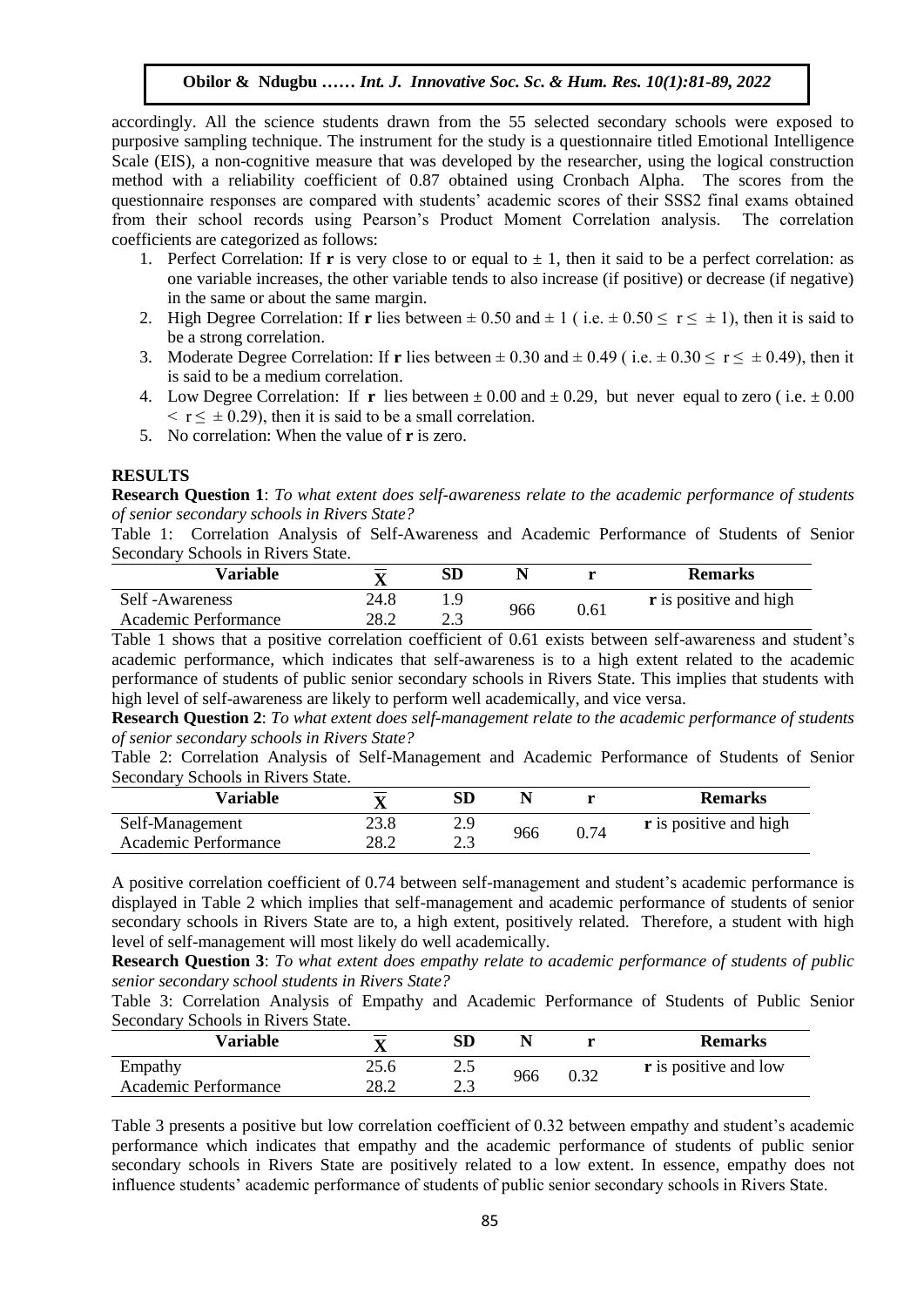accordingly. All the science students drawn from the 55 selected secondary schools were exposed to purposive sampling technique. The instrument for the study is a questionnaire titled Emotional Intelligence Scale (EIS), a non-cognitive measure that was developed by the researcher, using the logical construction method with a reliability coefficient of 0.87 obtained using Cronbach Alpha. The scores from the questionnaire responses are compared with students' academic scores of their SSS2 final exams obtained from their school records using Pearson's Product Moment Correlation analysis. The correlation coefficients are categorized as follows:

- 1. Perfect Correlation: If **r** is very close to or equal to  $\pm$  1, then it said to be a perfect correlation: as one variable increases, the other variable tends to also increase (if positive) or decrease (if negative) In the same or about the same margin.
- 2. High Degree Correlation: If **r** lies between  $\pm 0.50$  and  $\pm 1$  (i.e.  $\pm 0.50 \le r \le \pm 1$ ), then it is said to be a strong correlation.
- 3. Moderate Degree Correlation: If **r** lies between  $\pm 0.30$  and  $\pm 0.49$  (i.e.  $\pm 0.30 \le r \le \pm 0.49$ ), then it is said to be a medium correlation.
- 4. Low Degree Correlation: If **r** lies between  $\pm 0.00$  and  $\pm 0.29$ , but never equal to zero (i.e.  $\pm 0.00$  $\leq$  r  $\leq$  ± 0.29), then it is said to be a small correlation.
- 5. No correlation: When the value of **r** is zero.

#### **RESULTS**

**Research Question 1**: *To what extent does self-awareness relate to the academic performance of students of senior secondary schools in Rivers State?* 

Table 1: Correlation Analysis of Self-Awareness and Academic Performance of Students of Senior Secondary Schools in Rivers State.

| Variable             |      | SD    |     |      | <b>Remarks</b>                |
|----------------------|------|-------|-----|------|-------------------------------|
| Self-Awareness       | 24.8 |       | 966 | 0.61 | <b>r</b> is positive and high |
| Academic Performance | 28.2 | ل و ک |     |      |                               |

Table 1 shows that a positive correlation coefficient of 0.61 exists between self-awareness and student's academic performance, which indicates that self-awareness is to a high extent related to the academic performance of students of public senior secondary schools in Rivers State. This implies that students with high level of self-awareness are likely to perform well academically, and vice versa.

**Research Question 2**: *To what extent does self-management relate to the academic performance of students of senior secondary schools in Rivers State?*

Table 2: Correlation Analysis of Self-Management and Academic Performance of Students of Senior Secondary Schools in Rivers State.

| Variable             | $\mathbf{x}$<br>л | SD  |     |      | <b>Remarks</b>                |
|----------------------|-------------------|-----|-----|------|-------------------------------|
| Self-Management      | າາ ໑<br>23.O      | 2.9 | 966 | 0.74 | <b>r</b> is positive and high |
| Academic Performance | 28.2              | ر   |     |      |                               |

A positive correlation coefficient of 0.74 between self-management and student's academic performance is displayed in Table 2 which implies that self-management and academic performance of students of senior secondary schools in Rivers State are to, a high extent, positively related. Therefore, a student with high level of self-management will most likely do well academically.

**Research Question 3**: *To what extent does empathy relate to academic performance of students of public senior secondary school students in Rivers State?*

Table 3: Correlation Analysis of Empathy and Academic Performance of Students of Public Senior Secondary Schools in Rivers State.

| Variable             | △    | SD         |     |      | <b>Remarks</b>               |
|----------------------|------|------------|-----|------|------------------------------|
| Empathy              | 75 F | ر          | 966 | 0.32 | <b>r</b> is positive and low |
| Academic Performance | 28.2 | າາ<br>ر. ک |     |      |                              |

Table 3 presents a positive but low correlation coefficient of 0.32 between empathy and student's academic performance which indicates that empathy and the academic performance of students of public senior secondary schools in Rivers State are positively related to a low extent. In essence, empathy does not influence students' academic performance of students of public senior secondary schools in Rivers State.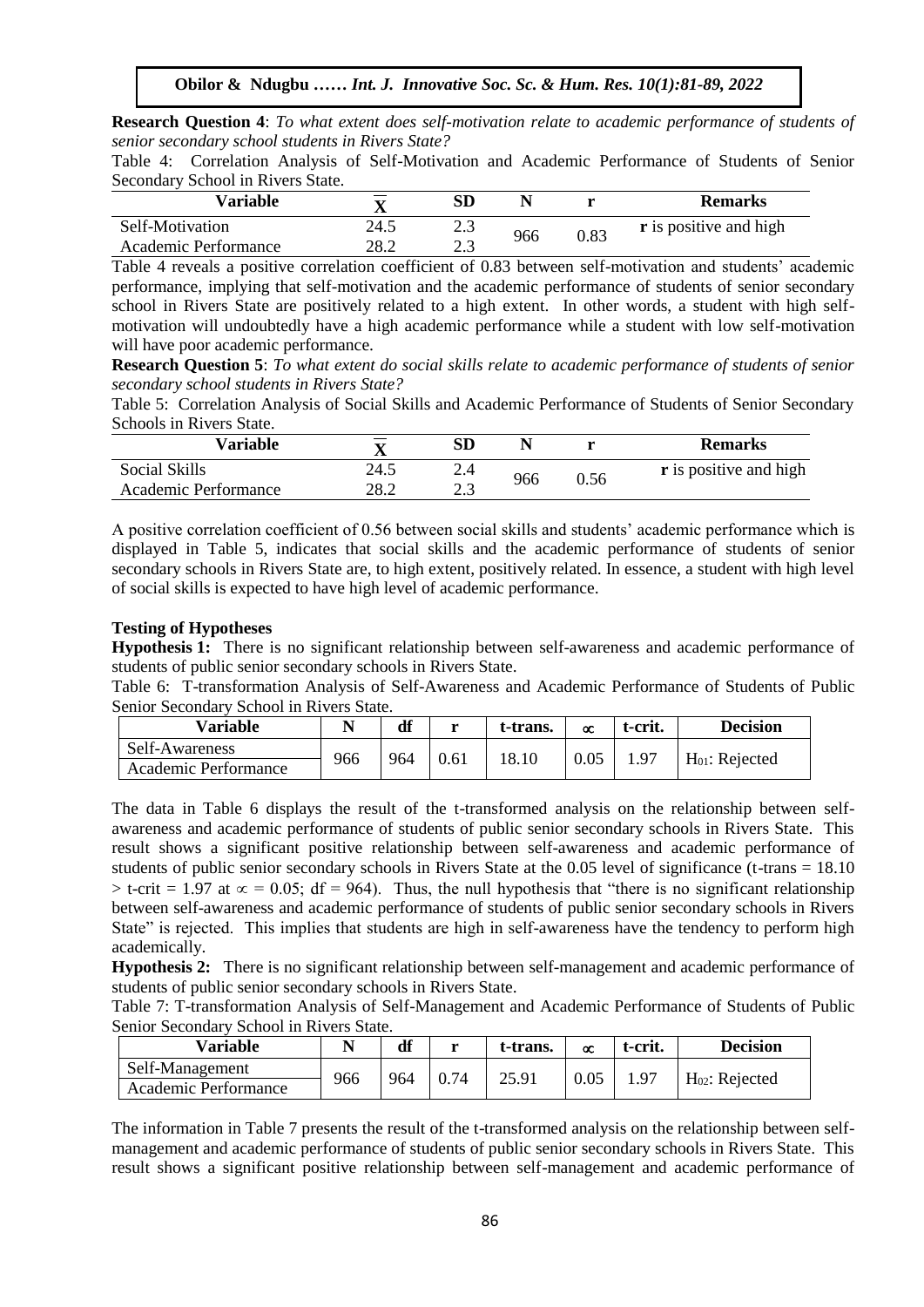**Research Question 4**: To what extent does self-motivation relate to academic performance of students of *senior secondary school students in Rivers State?* 

Table 4: Correlation Analysis of Self-Motivation and Academic Performance of Students of Senior Secondary School in Rivers State.

| Variable             | Δ    | SD                | N   |      | <b>Remarks</b>                |
|----------------------|------|-------------------|-----|------|-------------------------------|
| Self-Motivation      | 24.5 | $\mathcal{L}$ .)  | 966 | 0.83 | <b>r</b> is positive and high |
| Academic Performance | 28.2 | $\Omega$<br>ر . ب |     |      |                               |

Table 4 reveals a positive correlation coefficient of 0.83 between self-motivation and students' academic performance, implying that self-motivation and the academic performance of students of senior secondary school in Rivers State are positively related to a high extent. In other words, a student with high selfmotivation will undoubtedly have a high academic performance while a student with low self-motivation will be expressed with a structure of the self-motivation will have poor academic performance.

**Research Question 5**: *To what extent do social skills relate to academic performance of students of senior*  **Research Question 5:** 10 what extent to social shalls retain to detail may performance secondary school students in Rivers State?

Table 5: Correlation Analysis of Social Skills and Academic Performance of Students of Senior Secondary Schools in Rivers State.

| Variable             | △    | SD    |     |      | <b>Remarks</b>                |
|----------------------|------|-------|-----|------|-------------------------------|
| Social Skills        | 24.5 | 2.4   |     |      | <b>r</b> is positive and high |
| Academic Performance | 28.2 | ر . ب | 966 | 0.56 |                               |

A positive correlation coefficient of 0.56 between social skills and students' academic performance which is displayed in Table 5, indicates that social skills and the academic performance of students of senior secondary schools in Rivers State are, to high extent, positively related. In essence, a student with high level of social skills is expected to have high level of academic performance.

## **Testing of Hypotheses**

**Hypothesis 1:** There is no significant relationship between self-awareness and academic performance of students of public senior secondary schools in Rivers State.

Table 6: T-transformation Analysis of Self-Awareness and Academic Performance of Students of Public Senior Secondary School in Rivers State.

| Variable             |     | df  | ъ | t-trans. | $\alpha$ | t-crit. | <b>Decision</b>     |
|----------------------|-----|-----|---|----------|----------|---------|---------------------|
| Self-Awareness       | 966 | 964 |   | 18.10    | 0.05     | $Q^r$   |                     |
| Academic Performance |     |     |   |          |          |         | $H_{01}$ : Rejected |

The data in Table 6 displays the result of the t-transformed analysis on the relationship between selfawareness and academic performance of students of public senior secondary schools in Rivers State. This result shows a significant positive relationship between self-awareness and academic performance of students of public senior secondary schools in Rivers State at the 0.05 level of significance (t-trans = 18.10  $>$  t-crit = 1.97 at  $\infty$  = 0.05; df = 964). Thus, the null hypothesis that "there is no significant relationship between self-awareness and academic performance of students of public senior secondary schools in Rivers State" is rejected. This implies that students are high in self-awareness have the tendency to perform high academically.

**Hypothesis 2:** There is no significant relationship between self-management and academic performance of students of public senior secondary schools in Rivers State.

Table 7: T-transformation Analysis of Self-Management and Academic Performance of Students of Public Senior Secondary School in Rivers State.

| <b>Variable</b>      |     | df  | $\blacksquare$ | t-trans. | œ    | t-crit. | <b>Decision</b>     |
|----------------------|-----|-----|----------------|----------|------|---------|---------------------|
| Self-Management      | 966 | 964 | 0.74           | 25.91    | 0.05 | 1.97    | $H_{02}$ : Rejected |
| Academic Performance |     |     |                |          |      |         |                     |

The information in Table 7 presents the result of the t-transformed analysis on the relationship between selfmanagement and academic performance of students of public senior secondary schools in Rivers State. This result shows a significant positive relationship between self-management and academic performance of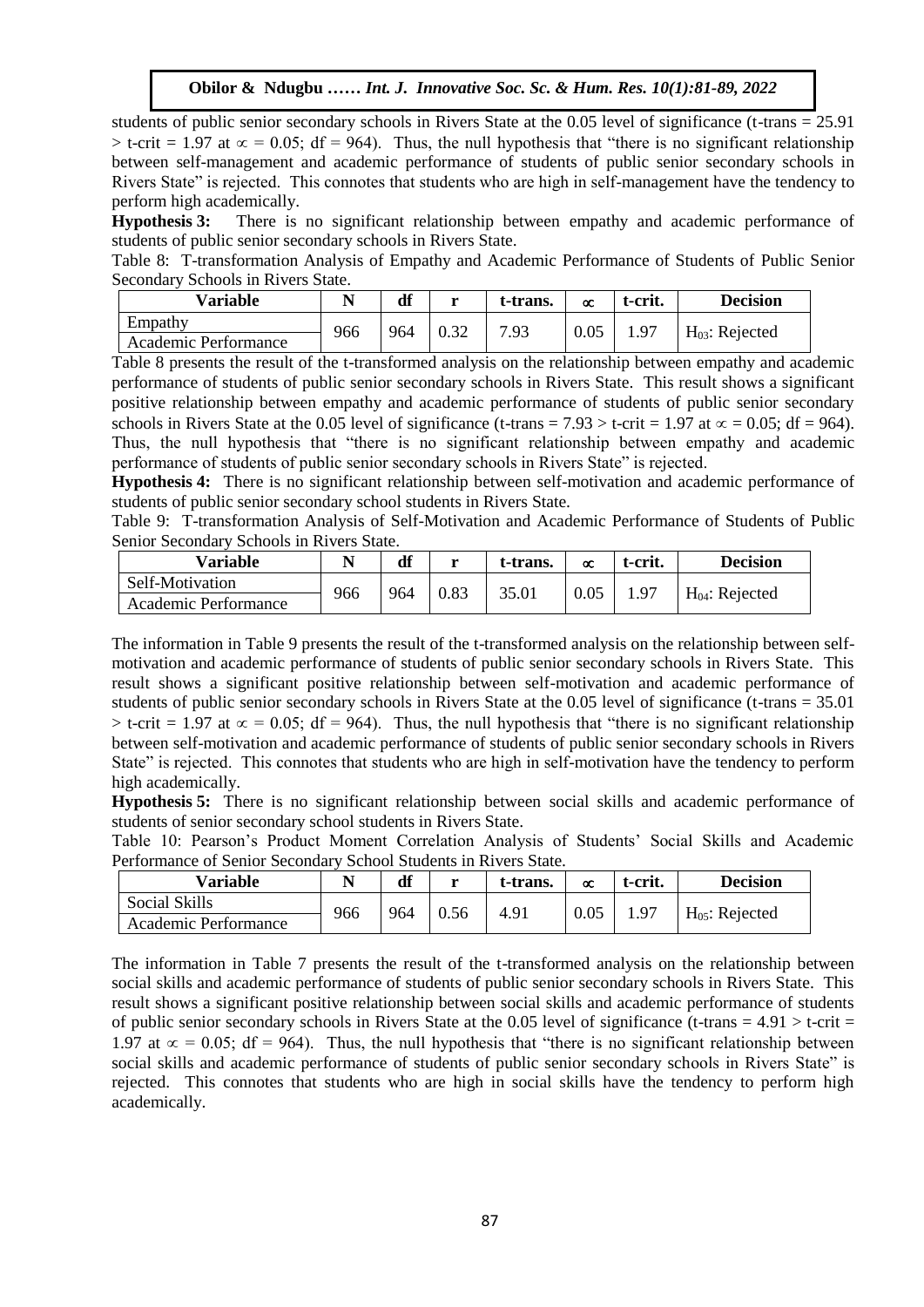students of public senior secondary schools in Rivers State at the 0.05 level of significance (t-trans = 25.91  $>$  t-crit = 1.97 at  $\infty$  = 0.05; df = 964). Thus, the null hypothesis that "there is no significant relationship between self-management and academic performance of students of public senior secondary schools in between sen-management and academic performance of students of public sensor secondary schools in Rivers State" is rejected. This connotes that students who are high in self-management have the tendency to perform high academically.

**Hypothesis 3:** There is no significant relationship between empathy and academic performance of students of public senior secondary schools in Rivers State.

Table 8: T-transformation Analysis of Empathy and Academic Performance of Students of Public Senior Secondary Schools in Rivers State.

| Variable             |     | df  | <b>W</b> | t-trans. | $\infty$ | t-crit. | <b>Decision</b>            |
|----------------------|-----|-----|----------|----------|----------|---------|----------------------------|
| Empathy              | 966 | 964 | 0.32     | 7.93     | 0.05     |         |                            |
| Academic Performance |     |     |          |          |          |         | H <sub>03</sub> : Rejected |

Table 8 presents the result of the t-transformed analysis on the relationship between empathy and academic performance of students of public senior secondary schools in Rivers State. This result shows a significant positive relationship between empathy and academic performance of students of public senior secondary schools in Rivers State at the 0.05 level of significance (t-trans = 7.93 > t-crit = 1.97 at  $\infty$  = 0.05; df = 964). Thus, the null hypothesis that "there is no significant relationship between empathy and academic performance of students of public senior secondary schools in Rivers State" is rejected.

**Hypothesis 4:** There is no significant relationship between self-motivation and academic performance of students of public senior secondary school students in Rivers State.

Table 9: T-transformation Analysis of Self-Motivation and Academic Performance of Students of Public Senior Secondary Schools in Rivers State.

| Variable             |     | df  | <b>W</b> | t-trans. | $\alpha$ | t-crit. | <b>Decision</b>     |
|----------------------|-----|-----|----------|----------|----------|---------|---------------------|
| Self-Motivation      | 966 | 964 | 0.83     | 35.01    | 0.05     |         |                     |
| Academic Performance |     |     |          |          |          |         | $H_{04}$ : Rejected |

The information in Table 9 presents the result of the t-transformed analysis on the relationship between selfmotivation and academic performance of students of public senior secondary schools in Rivers State. This result shows a significant positive relationship between self-motivation and academic performance of students of public senior secondary schools in Rivers State at the 0.05 level of significance (t-trans = 35.01  $>$  t-crit = 1.97 at  $\infty$  = 0.05; df = 964). Thus, the null hypothesis that "there is no significant relationship between self-motivation and academic performance of students of public senior secondary schools in Rivers State" is rejected. This connotes that students who are high in self-motivation have the tendency to perform high academically.

**Hypothesis 5:** There is no significant relationship between social skills and academic performance of students of senior secondary school students in Rivers State.

Table 10: Pearson's Product Moment Correlation Analysis of Students' Social Skills and Academic Performance of Senior Secondary School Students in Rivers State.

| <b>Variable</b>      |     | df  | <b>TA</b> | t-trans. | $\infty$ | t-crit. | <b>Decision</b>     |
|----------------------|-----|-----|-----------|----------|----------|---------|---------------------|
| Social Skills        | 966 | 964 |           | 4.91     | 0.05     |         |                     |
| Academic Performance |     |     |           |          |          |         | $H_{05}$ : Rejected |

The information in Table 7 presents the result of the t-transformed analysis on the relationship between social skills and academic performance of students of public senior secondary schools in Rivers State. This result shows a significant positive relationship between social skills and academic performance of students of public senior secondary schools in Rivers State at the 0.05 level of significance (t-trans =  $4.91 > t$ -crit = 1.97 at  $\infty$  = 0.05; df = 964). Thus, the null hypothesis that "there is no significant relationship between social skills and academic performance of students of public senior secondary schools in Rivers State" is rejected. This connotes that students who are high in social skills have the tendency to perform high academically.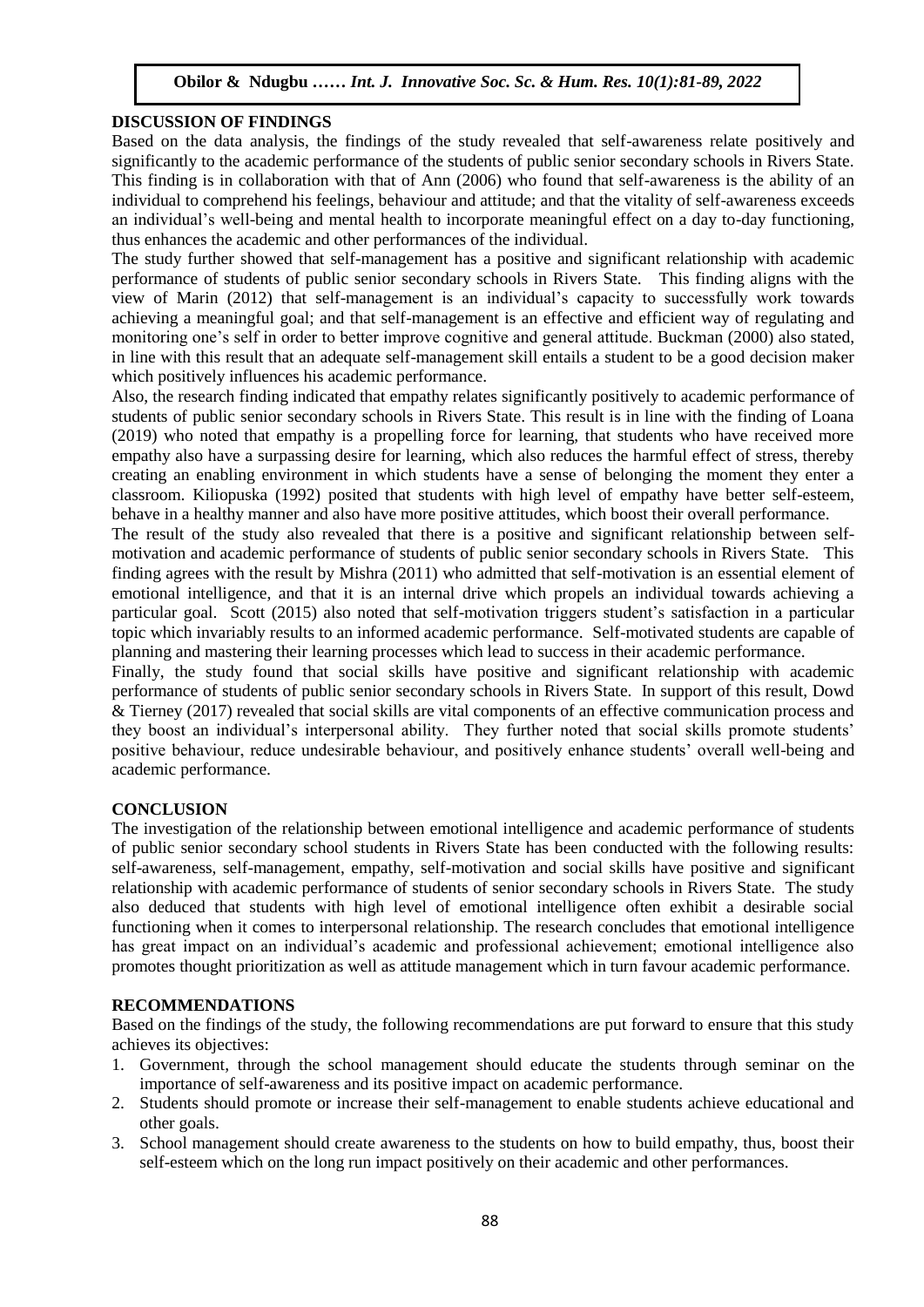## **DISCUSSION OF FINDINGS**

Based on the data analysis, the findings of the study revealed that self-awareness relate positively and significantly to the academic performance of the students of public senior secondary schools in Rivers State. This finding is in collaboration with that of Ann (2006) who found that self-awareness is the ability of an individual to comprehend his feelings, behaviour and attitude; and that the vitality of self-awareness exceeds an individual's well-being and mental health to incorporate meaningful effect on a day to-day functioning, thus enhances the academic and other performances of the individual.

thus emiances the academic and other performances of the murvidual.<br>The study further showed that self-management has a positive and significant relationship with academic performance of students of public senior secondary schools in Rivers State. This finding aligns with the performance of statents of pasife self-management is an individual's capacity to successfully work towards view of Marin (2012) that self-management is an individual's capacity to successfully work towards achieving a meaningful goal; and that self-management is an effective and efficient way of regulating and monitoring one's self in order to better improve cognitive and general attitude. Buckman (2000) also stated, in line with this result that an adequate self-management skill entails a student to be a good decision maker which positively influences his academic performance.

Also, the research finding indicated that empathy relates significantly positively to academic performance of students of public senior secondary schools in Rivers State. This result is in line with the finding of Loana (2019) who noted that empathy is a propelling force for learning, that students who have received more empathy also have a surpassing desire for learning, which also reduces the harmful effect of stress, thereby creating an enabling environment in which students have a sense of belonging the moment they enter a classroom. Kiliopuska (1992) posited that students with high level of empathy have better self-esteem, behave in a healthy manner and also have more positive attitudes, which boost their overall performance.

The result of the study also revealed that there is a positive and significant relationship between selfmotivation and academic performance of students of public senior secondary schools in Rivers State. This finding agrees with the result by Mishra (2011) who admitted that self-motivation is an essential element of emotional intelligence, and that it is an internal drive which propels an individual towards achieving a particular goal. Scott (2015) also noted that self-motivation triggers student's satisfaction in a particular topic which invariably results to an informed academic performance. Self-motivated students are capable of planning and mastering their learning processes which lead to success in their academic performance.

Finally, the study found that social skills have positive and significant relationship with academic performance of students of public senior secondary schools in Rivers State. In support of this result, Dowd & Tierney (2017) revealed that social skills are vital components of an effective communication process and they boost an individual's interpersonal ability. They further noted that social skills promote students' positive behaviour, reduce undesirable behaviour, and positively enhance students' overall well-being and academic performance.

## **CONCLUSION**

The investigation of the relationship between emotional intelligence and academic performance of students of public senior secondary school students in Rivers State has been conducted with the following results: self-awareness, self-management, empathy, self-motivation and social skills have positive and significant relationship with academic performance of students of senior secondary schools in Rivers State. The study also deduced that students with high level of emotional intelligence often exhibit a desirable social functioning when it comes to interpersonal relationship. The research concludes that emotional intelligence has great impact on an individual's academic and professional achievement; emotional intelligence also promotes thought prioritization as well as attitude management which in turn favour academic performance.

#### **RECOMMENDATIONS**

Based on the findings of the study, the following recommendations are put forward to ensure that this study achieves its objectives:

- 1. Government, through the school management should educate the students through seminar on the importance of self-awareness and its positive impact on academic performance.
- 2. Students should promote or increase their self-management to enable students achieve educational and other goals.
- 3. School management should create awareness to the students on how to build empathy, thus, boost their self-esteem which on the long run impact positively on their academic and other performances.